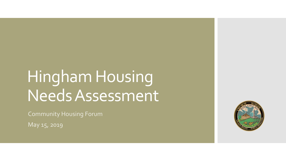## Hingham Housing Needs Assessment

Community Housing Forum

May 15, 2019

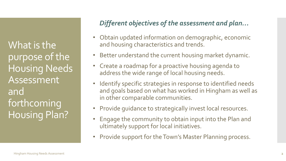What is the purpose of the Housing Needs Assessment and forthcoming Housing Plan?

## *Different objectives of the assessment and plan…*

- Obtain updated information on demographic, economic and housing characteristics and trends.
- Better understand the current housing market dynamic.
- Create a roadmap for a proactive housing agenda to address the wide range of local housing needs.
- Identify specific strategies in response to identified needs and goals based on what has worked in Hingham as well as in other comparable communities.
- Provide guidance to strategically invest local resources.
- Engage the community to obtain input into the Plan and ultimately support for local initiatives.
- Provide support for the Town's Master Planning process.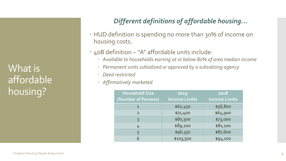What is affordable housing?

## *Different definitions of affordable housing…*

- HUD definition is spending no more than 30% of income on housing costs.
- 40B definition "A" affordable units include:
	- *Available to households earning at or below 80% of area median income*
	- *Permanent units subsidized or approved by a subsidizing agency*
	- *Deed restricted*
	- *Affirmatively marketed*

| <b>Household Size</b> | 2019                 | 2018                 |
|-----------------------|----------------------|----------------------|
| (Number of Persons)   | <b>Income Limits</b> | <b>Income Limits</b> |
| $\mathbf 1$           | \$62,450             | \$56,800             |
| $\mathcal{P}$         | \$71,400             | \$64,900             |
| 3                     | \$80,300             | \$73,000             |
| 4                     | \$89,200             | \$81,100             |
| 5                     | \$96,350             | \$87,600             |
| 6                     | \$103,500            | \$94,100             |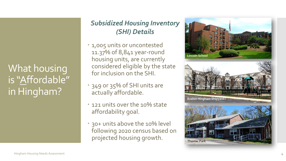What housing is "Affordable" in Hingham?

## *Subsidized Housing Inventory (SHI) Details*

- 1,005 units or uncontested 11.37% of 8,841 year -round housing units, are currently considered eligible by the state for inclusion on the SHI.
- 349 or 35% of SHI units are actually affordable.
- 121 units over the 10% state affordability goal.
- 30+ units above the 10% level following 2020 census based on projected housing growth.





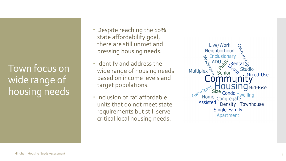Town focus on wide range of housing needs

- Despite reaching the 10% state affordability goal, there are still unmet and pressing housing needs.
- **Identify and address the** wide range of housing needs based on income levels and target populations.
- Inclusion of "a" affordable units that do not meet state requirements but still serve critical local housing needs.

Live/Work Neighborhood Inclusionary ADU Multiplex  $\frac{1}{6}$  Senior  $\eta_{\bm{Q}}$ . Mixed-Use Two-Family **OUSING** Mid-Rise Size Condo Dwelling Home Congregate **Assisted** Density Townhouse Single-Family Apartment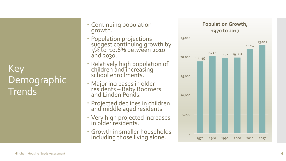Key **Demographic Trends** 

- Continuing population growth.
- Population projections suggest continuing growth by 5% to 10.6% between 2010 and 2030.
- Relatively high population of children and increasing school enrollments.
- Major increases in older residents – Baby Boomers and Linden Ponds.
- Projected declines in children and middle aged residents.
- Very high projected increases in older residents.
- Growth in smaller households including those living alone.

#### **Population Growth, 1970 to 2017**

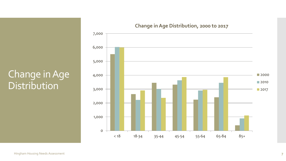## Change in Age Distribution



#### **Change in Age Distribution, 2000 to 2017**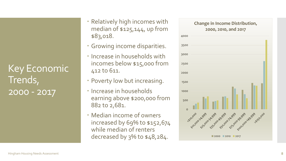Key Economic Trends, 2000 - 2017

- Relatively high incomes with median of \$125,144, up from \$83,018.
- Growing income disparities.
- **Increase in households with** incomes below \$15,000 from 412 to 611.
- Poverty low but increasing.
- **· Increase in households** earning above \$200,000 from 882 to 2,681.
- Median income of owners increased by 69% to \$152,674 while median of renters decreased by 3% to \$48,284.

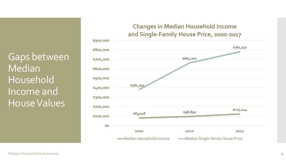Gaps between Median Household Income and House Values



**-Median Household Income -Median Single-family House Price**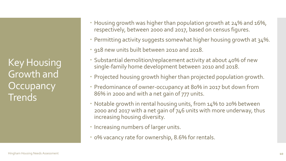Key Housing Growth and **Occupancy Trends** 

- Housing growth was higher than population growth at 24% and 16%, respectively, between 2000 and 2017, based on census figures.
- Permitting activity suggests somewhat higher housing growth at 34%.
- 918 new units built between 2010 and 2018.
- Substantial demolition/replacement activity at about 40% of new single-family home development between 2010 and 2018.
- Projected housing growth higher than projected population growth.
- Predominance of owner-occupancy at 80% in 2017 but down from 86% in 2000 and with a net gain of 777 units.
- Notable growth in rental housing units, from 14% to 20% between 2000 and 2017 with a net gain of 746 units with more underway, thus increasing housing diversity.
- Increasing numbers of larger units.
- 0% vacancy rate for ownership, 8.6% for rentals.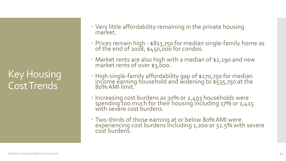Key Housing Cost Trends

- Very little affordability remaining in the private housing market.
- Prices remain high \$813,750 for median single-family home as of the end of 2018, \$450,000 for condos.
- Market rents are also high with a median of \$2,190 and new market rents of over \$3,000.
- High single-family affordability gap of \$270,750 for median income earning household and widening to \$535,750 at the 80% AMI limit.
- · Increasing cost burdens as 30% or 2,493 households were spending too much for their housing including 17% or 1,415 with severe cost burdens.
- Two-thirds of those earning at or below 80% AMI were experiencing cost burdens including 1,200 or 51.5% with severe cost burdens.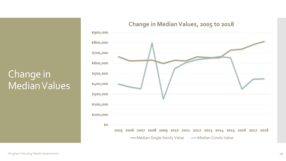## Change in Median Values



#### **Change in Median Values, 2005 to 2018**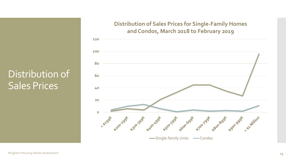## Distribution of Sales Prices

#### **Distribution of Sales Prices for Single-Family Homes and Condos, March 2018 to February 2019**

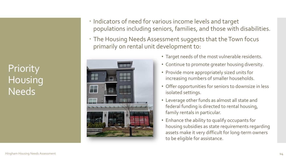**Priority** Housing Needs

- Indicators of need for various income levels and target populations including seniors, families, and those with disabilities.
- The Housing Needs Assessment suggests that the Town focus primarily on rental unit development to:



- Target needs of the most vulnerable residents.
- Continue to promote greater housing diversity.
- Provide more appropriately sized units for increasing numbers of smaller households.
- Offer opportunities for seniors to downsize in less isolated settings.
- Leverage other funds as almost all state and federal funding is directed to rental housing, family rentals in particular.
- Enhance the ability to qualify occupants for housing subsidies as state requirements regarding assets make it very difficult for long-term owners to be eligible for assistance.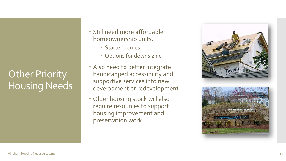# Other Priority Housing Needs

- Still need more affordable homeownership units.
	- Starter homes
	- Options for downsizing
- Also need to better integrate handicapped accessibility and supportive services into new development or redevelopment.
- Older housing stock will also require resources to support housing improvement and preservation work.

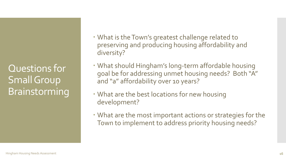Questions for Small Group Brainstorming

- What is the Town's greatest challenge related to preserving and producing housing affordability and diversity?
- What should Hingham's long-term affordable housing goal be for addressing unmet housing needs? Both "A" and "a" affordability over 10 years?
- What are the best locations for new housing development?
- What are the most important actions or strategies for the Town to implement to address priority housing needs?